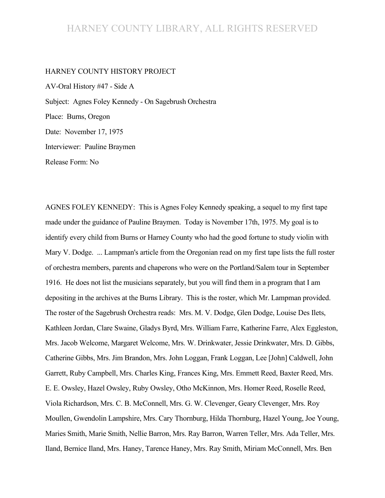#### HARNEY COUNTY LIBRARY, ALL RIGHTS RESERVED

#### HARNEY COUNTY HISTORY PROJECT

AV-Oral History #47 - Side A Subject: Agnes Foley Kennedy - On Sagebrush Orchestra Place: Burns, Oregon Date: November 17, 1975 Interviewer: Pauline Braymen Release Form: No

AGNES FOLEY KENNEDY: This is Agnes Foley Kennedy speaking, a sequel to my first tape made under the guidance of Pauline Braymen. Today is November 17th, 1975. My goal is to identify every child from Burns or Harney County who had the good fortune to study violin with Mary V. Dodge. ... Lampman's article from the Oregonian read on my first tape lists the full roster of orchestra members, parents and chaperons who were on the Portland/Salem tour in September 1916. He does not list the musicians separately, but you will find them in a program that I am depositing in the archives at the Burns Library. This is the roster, which Mr. Lampman provided. The roster of the Sagebrush Orchestra reads: Mrs. M. V. Dodge, Glen Dodge, Louise Des Ilets, Kathleen Jordan, Clare Swaine, Gladys Byrd, Mrs. William Farre, Katherine Farre, Alex Eggleston, Mrs. Jacob Welcome, Margaret Welcome, Mrs. W. Drinkwater, Jessie Drinkwater, Mrs. D. Gibbs, Catherine Gibbs, Mrs. Jim Brandon, Mrs. John Loggan, Frank Loggan, Lee [John] Caldwell, John Garrett, Ruby Campbell, Mrs. Charles King, Frances King, Mrs. Emmett Reed, Baxter Reed, Mrs. E. E. Owsley, Hazel Owsley, Ruby Owsley, Otho McKinnon, Mrs. Homer Reed, Roselle Reed, Viola Richardson, Mrs. C. B. McConnell, Mrs. G. W. Clevenger, Geary Clevenger, Mrs. Roy Moullen, Gwendolin Lampshire, Mrs. Cary Thornburg, Hilda Thornburg, Hazel Young, Joe Young, Maries Smith, Marie Smith, Nellie Barron, Mrs. Ray Barron, Warren Teller, Mrs. Ada Teller, Mrs. Iland, Bernice Iland, Mrs. Haney, Tarence Haney, Mrs. Ray Smith, Miriam McConnell, Mrs. Ben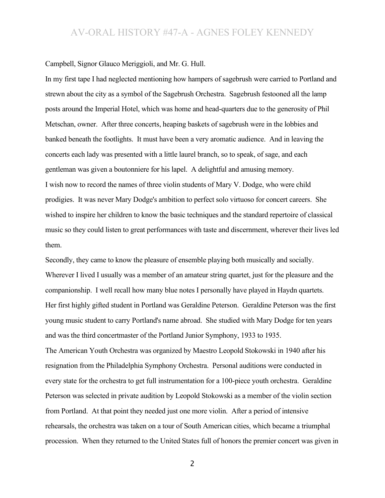Campbell, Signor Glauco Meriggioli, and Mr. G. Hull.

In my first tape I had neglected mentioning how hampers of sagebrush were carried to Portland and strewn about the city as a symbol of the Sagebrush Orchestra. Sagebrush festooned all the lamp posts around the Imperial Hotel, which was home and head-quarters due to the generosity of Phil Metschan, owner. After three concerts, heaping baskets of sagebrush were in the lobbies and banked beneath the footlights. It must have been a very aromatic audience. And in leaving the concerts each lady was presented with a little laurel branch, so to speak, of sage, and each gentleman was given a boutonniere for his lapel. A delightful and amusing memory. I wish now to record the names of three violin students of Mary V. Dodge, who were child prodigies. It was never Mary Dodge's ambition to perfect solo virtuoso for concert careers. She wished to inspire her children to know the basic techniques and the standard repertoire of classical music so they could listen to great performances with taste and discernment, wherever their lives led them.

Secondly, they came to know the pleasure of ensemble playing both musically and socially. Wherever I lived I usually was a member of an amateur string quartet, just for the pleasure and the companionship. I well recall how many blue notes I personally have played in Haydn quartets. Her first highly gifted student in Portland was Geraldine Peterson. Geraldine Peterson was the first young music student to carry Portland's name abroad. She studied with Mary Dodge for ten years and was the third concertmaster of the Portland Junior Symphony, 1933 to 1935.

The American Youth Orchestra was organized by Maestro Leopold Stokowski in 1940 after his resignation from the Philadelphia Symphony Orchestra. Personal auditions were conducted in every state for the orchestra to get full instrumentation for a 100-piece youth orchestra. Geraldine Peterson was selected in private audition by Leopold Stokowski as a member of the violin section from Portland. At that point they needed just one more violin. After a period of intensive rehearsals, the orchestra was taken on a tour of South American cities, which became a triumphal procession. When they returned to the United States full of honors the premier concert was given in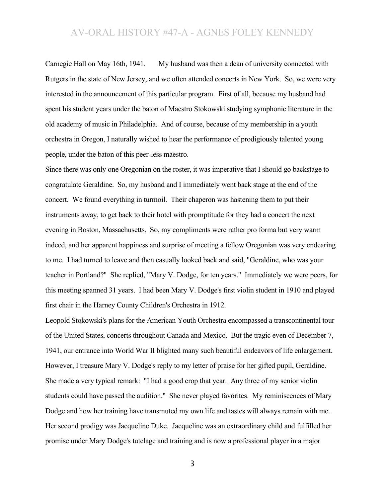Carnegie Hall on May 16th, 1941. My husband was then a dean of university connected with Rutgers in the state of New Jersey, and we often attended concerts in New York. So, we were very interested in the announcement of this particular program. First of all, because my husband had spent his student years under the baton of Maestro Stokowski studying symphonic literature in the old academy of music in Philadelphia. And of course, because of my membership in a youth orchestra in Oregon, I naturally wished to hear the performance of prodigiously talented young people, under the baton of this peer-less maestro.

Since there was only one Oregonian on the roster, it was imperative that I should go backstage to congratulate Geraldine. So, my husband and I immediately went back stage at the end of the concert. We found everything in turmoil. Their chaperon was hastening them to put their instruments away, to get back to their hotel with promptitude for they had a concert the next evening in Boston, Massachusetts. So, my compliments were rather pro forma but very warm indeed, and her apparent happiness and surprise of meeting a fellow Oregonian was very endearing to me. I had turned to leave and then casually looked back and said, "Geraldine, who was your teacher in Portland?" She replied, "Mary V. Dodge, for ten years." Immediately we were peers, for this meeting spanned 31 years. I had been Mary V. Dodge's first violin student in 1910 and played first chair in the Harney County Children's Orchestra in 1912.

Leopold Stokowski's plans for the American Youth Orchestra encompassed a transcontinental tour of the United States, concerts throughout Canada and Mexico. But the tragic even of December 7, 1941, our entrance into World War II blighted many such beautiful endeavors of life enlargement. However, I treasure Mary V. Dodge's reply to my letter of praise for her gifted pupil, Geraldine. She made a very typical remark: "I had a good crop that year. Any three of my senior violin students could have passed the audition." She never played favorites. My reminiscences of Mary Dodge and how her training have transmuted my own life and tastes will always remain with me. Her second prodigy was Jacqueline Duke. Jacqueline was an extraordinary child and fulfilled her promise under Mary Dodge's tutelage and training and is now a professional player in a major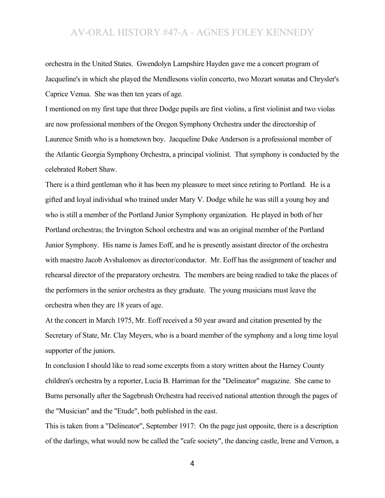orchestra in the United States. Gwendolyn Lampshire Hayden gave me a concert program of Jacqueline's in which she played the Mendlesons violin concerto, two Mozart sonatas and Chrysler's Caprice Venua. She was then ten years of age.

I mentioned on my first tape that three Dodge pupils are first violins, a first violinist and two violas are now professional members of the Oregon Symphony Orchestra under the directorship of Laurence Smith who is a hometown boy. Jacqueline Duke Anderson is a professional member of the Atlantic Georgia Symphony Orchestra, a principal violinist. That symphony is conducted by the celebrated Robert Shaw.

There is a third gentleman who it has been my pleasure to meet since retiring to Portland. He is a gifted and loyal individual who trained under Mary V. Dodge while he was still a young boy and who is still a member of the Portland Junior Symphony organization. He played in both of her Portland orchestras; the Irvington School orchestra and was an original member of the Portland Junior Symphony. His name is James Eoff, and he is presently assistant director of the orchestra with maestro Jacob Avshalomov as director/conductor. Mr. Eoff has the assignment of teacher and rehearsal director of the preparatory orchestra. The members are being readied to take the places of the performers in the senior orchestra as they graduate. The young musicians must leave the orchestra when they are 18 years of age.

At the concert in March 1975, Mr. Eoff received a 50 year award and citation presented by the Secretary of State, Mr. Clay Meyers, who is a board member of the symphony and a long time loyal supporter of the juniors.

In conclusion I should like to read some excerpts from a story written about the Harney County children's orchestra by a reporter, Lucia B. Harriman for the "Delineator" magazine. She came to Burns personally after the Sagebrush Orchestra had received national attention through the pages of the "Musician" and the "Etude", both published in the east.

This is taken from a "Delineator", September 1917: On the page just opposite, there is a description of the darlings, what would now be called the "cafe society", the dancing castle, Irene and Vernon, a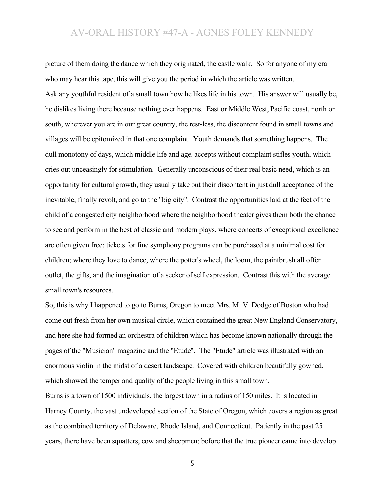picture of them doing the dance which they originated, the castle walk. So for anyone of my era who may hear this tape, this will give you the period in which the article was written. Ask any youthful resident of a small town how he likes life in his town. His answer will usually be, he dislikes living there because nothing ever happens. East or Middle West, Pacific coast, north or south, wherever you are in our great country, the rest-less, the discontent found in small towns and villages will be epitomized in that one complaint. Youth demands that something happens. The dull monotony of days, which middle life and age, accepts without complaint stifles youth, which cries out unceasingly for stimulation. Generally unconscious of their real basic need, which is an opportunity for cultural growth, they usually take out their discontent in just dull acceptance of the inevitable, finally revolt, and go to the "big city". Contrast the opportunities laid at the feet of the child of a congested city neighborhood where the neighborhood theater gives them both the chance to see and perform in the best of classic and modern plays, where concerts of exceptional excellence are often given free; tickets for fine symphony programs can be purchased at a minimal cost for children; where they love to dance, where the potter's wheel, the loom, the paintbrush all offer outlet, the gifts, and the imagination of a seeker of self expression. Contrast this with the average small town's resources.

So, this is why I happened to go to Burns, Oregon to meet Mrs. M. V. Dodge of Boston who had come out fresh from her own musical circle, which contained the great New England Conservatory, and here she had formed an orchestra of children which has become known nationally through the pages of the "Musician" magazine and the "Etude". The "Etude" article was illustrated with an enormous violin in the midst of a desert landscape. Covered with children beautifully gowned, which showed the temper and quality of the people living in this small town.

Burns is a town of 1500 individuals, the largest town in a radius of 150 miles. It is located in Harney County, the vast undeveloped section of the State of Oregon, which covers a region as great as the combined territory of Delaware, Rhode Island, and Connecticut. Patiently in the past 25 years, there have been squatters, cow and sheepmen; before that the true pioneer came into develop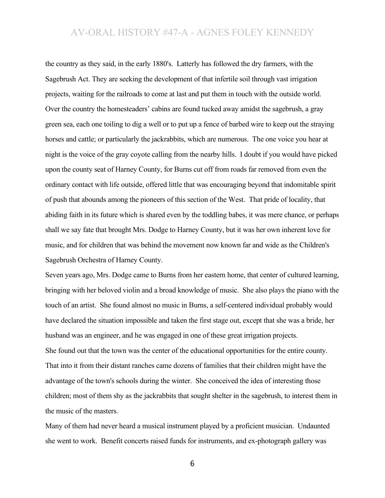the country as they said, in the early 1880's. Latterly has followed the dry farmers, with the Sagebrush Act. They are seeking the development of that infertile soil through vast irrigation projects, waiting for the railroads to come at last and put them in touch with the outside world. Over the country the homesteaders' cabins are found tucked away amidst the sagebrush, a gray green sea, each one toiling to dig a well or to put up a fence of barbed wire to keep out the straying horses and cattle; or particularly the jackrabbits, which are numerous. The one voice you hear at night is the voice of the gray coyote calling from the nearby hills. I doubt if you would have picked upon the county seat of Harney County, for Burns cut off from roads far removed from even the ordinary contact with life outside, offered little that was encouraging beyond that indomitable spirit of push that abounds among the pioneers of this section of the West. That pride of locality, that abiding faith in its future which is shared even by the toddling babes, it was mere chance, or perhaps shall we say fate that brought Mrs. Dodge to Harney County, but it was her own inherent love for music, and for children that was behind the movement now known far and wide as the Children's Sagebrush Orchestra of Harney County.

Seven years ago, Mrs. Dodge came to Burns from her eastern home, that center of cultured learning, bringing with her beloved violin and a broad knowledge of music. She also plays the piano with the touch of an artist. She found almost no music in Burns, a self-centered individual probably would have declared the situation impossible and taken the first stage out, except that she was a bride, her husband was an engineer, and he was engaged in one of these great irrigation projects. She found out that the town was the center of the educational opportunities for the entire county. That into it from their distant ranches came dozens of families that their children might have the advantage of the town's schools during the winter. She conceived the idea of interesting those children; most of them shy as the jackrabbits that sought shelter in the sagebrush, to interest them in the music of the masters.

Many of them had never heard a musical instrument played by a proficient musician. Undaunted she went to work. Benefit concerts raised funds for instruments, and ex-photograph gallery was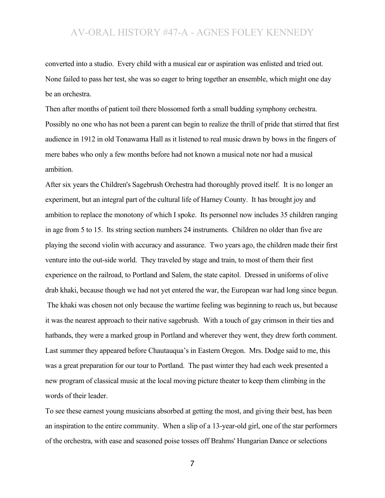converted into a studio. Every child with a musical ear or aspiration was enlisted and tried out. None failed to pass her test, she was so eager to bring together an ensemble, which might one day be an orchestra.

Then after months of patient toil there blossomed forth a small budding symphony orchestra. Possibly no one who has not been a parent can begin to realize the thrill of pride that stirred that first audience in 1912 in old Tonawama Hall as it listened to real music drawn by bows in the fingers of mere babes who only a few months before had not known a musical note nor had a musical ambition.

After six years the Children's Sagebrush Orchestra had thoroughly proved itself. It is no longer an experiment, but an integral part of the cultural life of Harney County. It has brought joy and ambition to replace the monotony of which I spoke. Its personnel now includes 35 children ranging in age from 5 to 15. Its string section numbers 24 instruments. Children no older than five are playing the second violin with accuracy and assurance. Two years ago, the children made their first venture into the out-side world. They traveled by stage and train, to most of them their first experience on the railroad, to Portland and Salem, the state capitol. Dressed in uniforms of olive drab khaki, because though we had not yet entered the war, the European war had long since begun. The khaki was chosen not only because the wartime feeling was beginning to reach us, but because it was the nearest approach to their native sagebrush. With a touch of gay crimson in their ties and hatbands, they were a marked group in Portland and wherever they went, they drew forth comment. Last summer they appeared before Chautauqua's in Eastern Oregon. Mrs. Dodge said to me, this was a great preparation for our tour to Portland. The past winter they had each week presented a new program of classical music at the local moving picture theater to keep them climbing in the words of their leader.

To see these earnest young musicians absorbed at getting the most, and giving their best, has been an inspiration to the entire community. When a slip of a 13-year-old girl, one of the star performers of the orchestra, with ease and seasoned poise tosses off Brahms' Hungarian Dance or selections